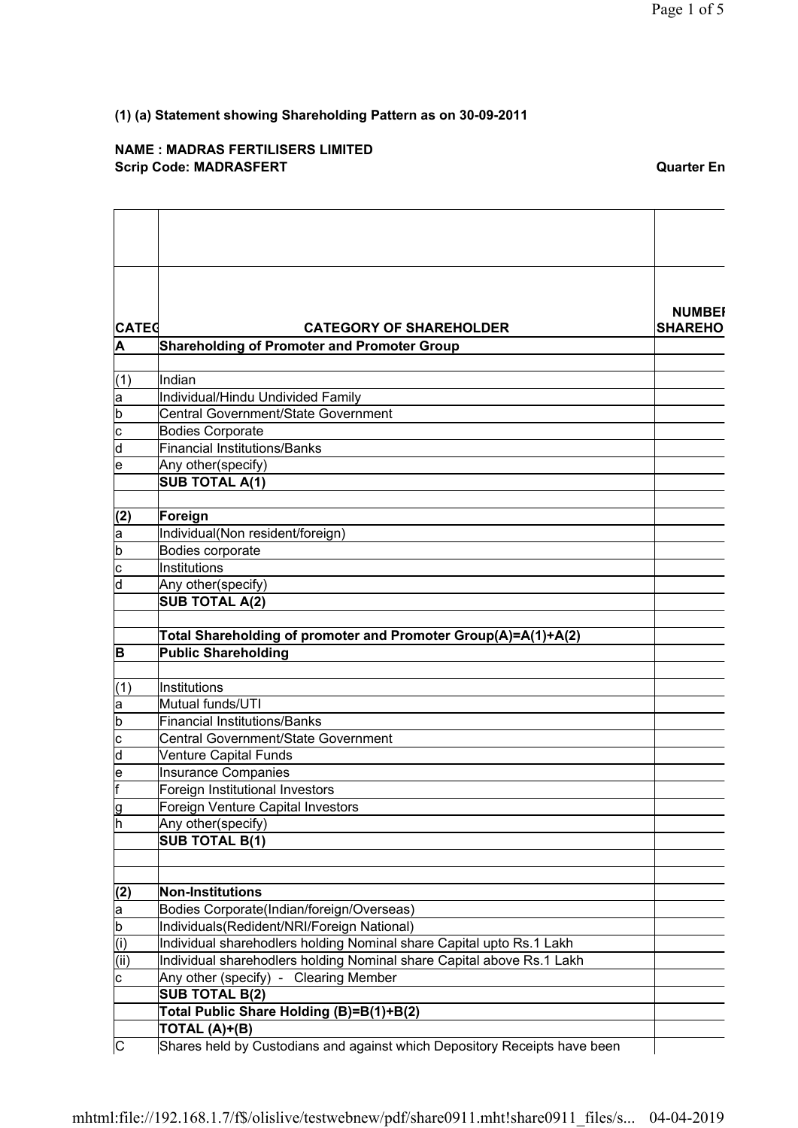## **NAME : MADRAS FERTILISERS LIMITED Scrip Code: MADRASFERT COMPUTER CONSUMING A CONSUMING A CONSUMING A CONSUMING A CONSUMING A CONSUMING A CONSUMING A CONSUMING A CONSUMING A CONSUMING A CONSUMING A CONSUMING A CONSUMING A CONSUMING A CONSUMING A CONSUMING**

| <b>CATEG</b>                                               |                                                                           | <b>NUMBEI</b>  |
|------------------------------------------------------------|---------------------------------------------------------------------------|----------------|
|                                                            | <b>CATEGORY OF SHAREHOLDER</b>                                            | <b>SHAREHO</b> |
| A                                                          | <b>Shareholding of Promoter and Promoter Group</b>                        |                |
| (1)                                                        | Indian                                                                    |                |
| a                                                          | Individual/Hindu Undivided Family                                         |                |
| b                                                          | <b>Central Government/State Government</b>                                |                |
| $\overline{\mathbf{c}}$                                    | <b>Bodies Corporate</b>                                                   |                |
| $\overline{\mathsf{d}}$                                    | <b>Financial Institutions/Banks</b>                                       |                |
| le                                                         | Any other(specify)                                                        |                |
|                                                            | <b>SUB TOTAL A(1)</b>                                                     |                |
|                                                            |                                                                           |                |
| (2)                                                        | Foreign                                                                   |                |
| a                                                          | Individual(Non resident/foreign)                                          |                |
| $\overline{\mathsf{b}}$                                    | Bodies corporate                                                          |                |
| $\overline{\text{c}}$                                      | Institutions                                                              |                |
| ld                                                         | Any other(specify)                                                        |                |
|                                                            | <b>SUB TOTAL A(2)</b>                                                     |                |
|                                                            |                                                                           |                |
|                                                            | Total Shareholding of promoter and Promoter Group(A)=A(1)+A(2)            |                |
| B                                                          | <b>Public Shareholding</b>                                                |                |
|                                                            |                                                                           |                |
| (1)                                                        | Institutions                                                              |                |
| la                                                         | Mutual funds/UTI                                                          |                |
| $\overline{\mathsf{b}}$                                    | <b>Financial Institutions/Banks</b>                                       |                |
| $\overline{\mathsf{c}}$                                    | Central Government/State Government                                       |                |
| $\overline{\mathsf{d}}$                                    | <b>Venture Capital Funds</b>                                              |                |
| le                                                         | <b>Insurance Companies</b>                                                |                |
| F                                                          | Foreign Institutional Investors                                           |                |
| lg                                                         | Foreign Venture Capital Investors                                         |                |
| h                                                          | Any other(specify)                                                        |                |
|                                                            | <b>SUB TOTAL B(1)</b>                                                     |                |
|                                                            |                                                                           |                |
| (2)                                                        | <b>Non-Institutions</b>                                                   |                |
| a                                                          | Bodies Corporate(Indian/foreign/Overseas)                                 |                |
| $\overline{\mathsf{b}}$                                    | Individuals(Redident/NRI/Foreign National)                                |                |
|                                                            | Individual sharehodlers holding Nominal share Capital upto Rs.1 Lakh      |                |
|                                                            | Individual sharehodlers holding Nominal share Capital above Rs.1 Lakh     |                |
| $\frac{\overline{(\mathsf{i})}}{\overline{(\mathsf{ii})}}$ | Any other (specify) - Clearing Member                                     |                |
|                                                            | <b>SUB TOTAL B(2)</b>                                                     |                |
|                                                            | Total Public Share Holding (B)=B(1)+B(2)                                  |                |
|                                                            | TOTAL (A)+(B)                                                             |                |
| C                                                          | Shares held by Custodians and against which Depository Receipts have been |                |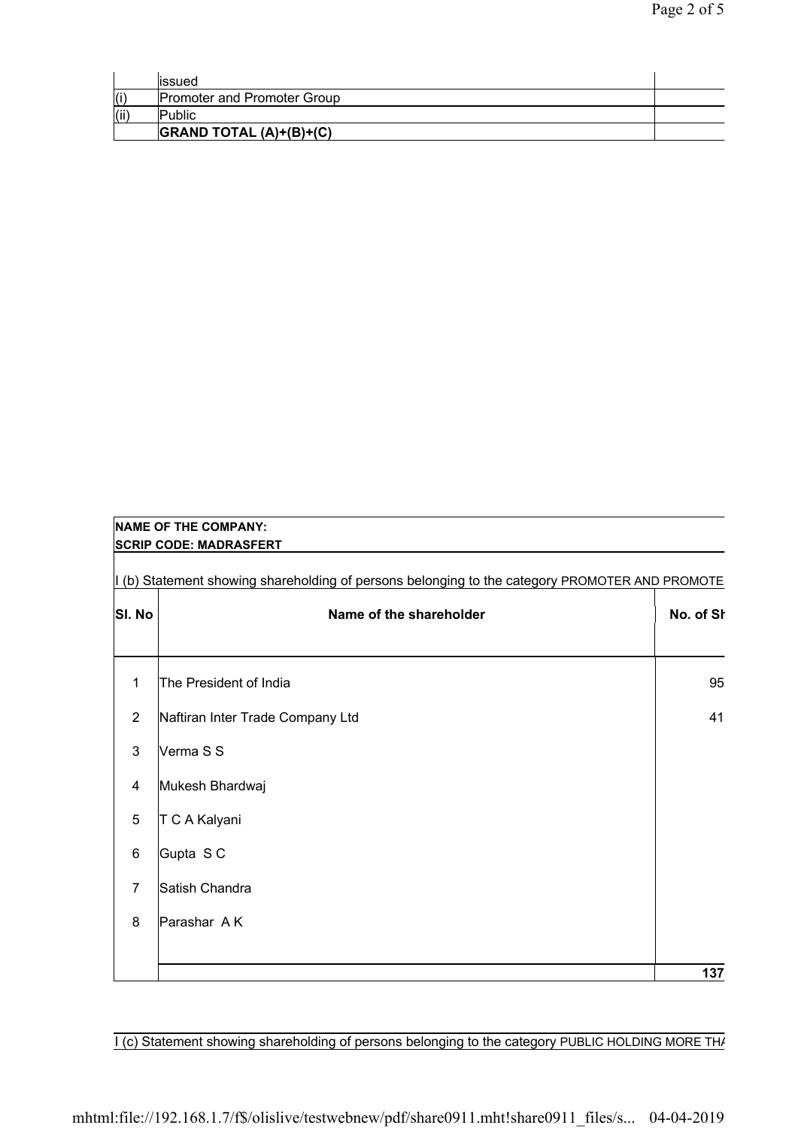|      | lissued                                               |  |
|------|-------------------------------------------------------|--|
| (i)  | <b>Promoter and Promoter Group</b>                    |  |
| (ii) | <b>Public</b>                                         |  |
|      | $ GRAND\hspace{0.1cm}TOTAL\hspace{0.1cm}(A)+(B)+(C) $ |  |

|                | <b>NAME OF THE COMPANY:</b>                                                                    |           |
|----------------|------------------------------------------------------------------------------------------------|-----------|
|                | <b>SCRIP CODE: MADRASFERT</b>                                                                  |           |
|                | I (b) Statement showing shareholding of persons belonging to the category PROMOTER AND PROMOTE |           |
| SI. No         | Name of the shareholder                                                                        | No. of St |
|                |                                                                                                |           |
| 1              | The President of India                                                                         | 95        |
| $\overline{2}$ | Naftiran Inter Trade Company Ltd                                                               | 41        |
| 3              | Verma S S                                                                                      |           |
| 4              | Mukesh Bhardwaj                                                                                |           |
| 5              | T C A Kalyani                                                                                  |           |
| 6              | Gupta S C                                                                                      |           |
| 7              | Satish Chandra                                                                                 |           |
| 8              | Parashar AK                                                                                    |           |
|                |                                                                                                |           |
|                |                                                                                                | 137       |

I (c) Statement showing shareholding of persons belonging to the category PUBLIC HOLDING MORE THA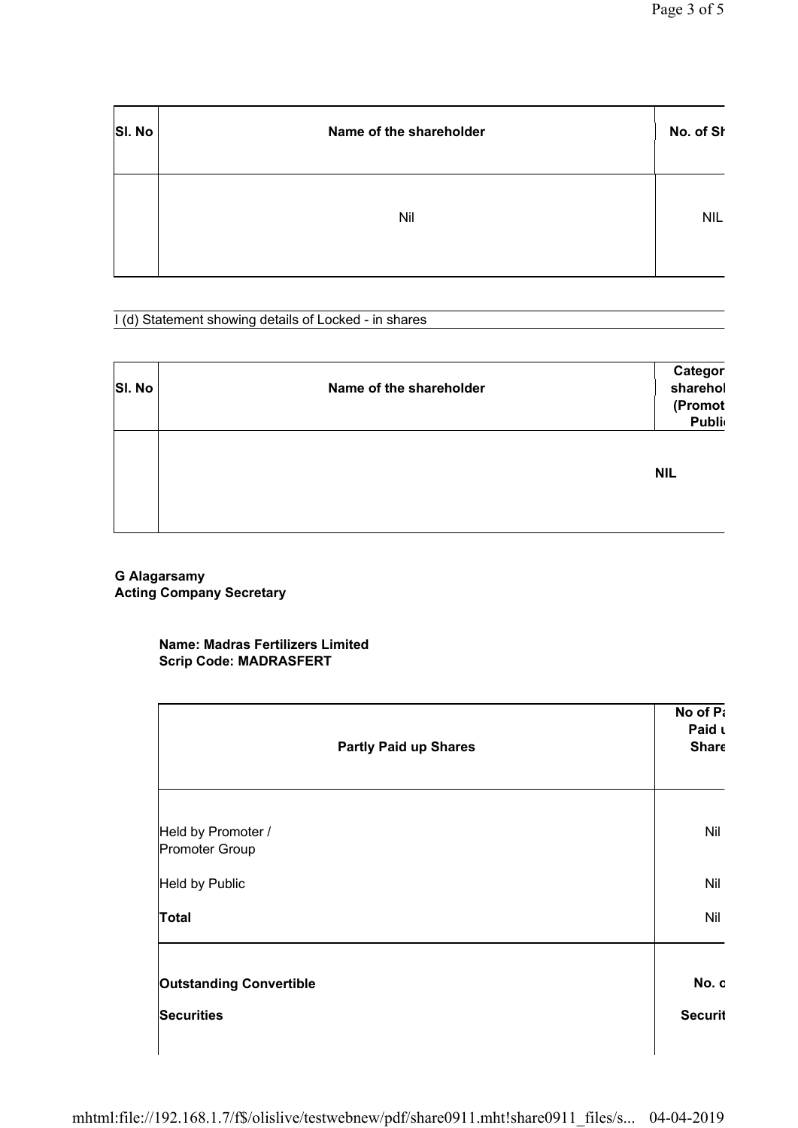| SI. No | Name of the shareholder | No. of St  |
|--------|-------------------------|------------|
|        | Nil                     | <b>NIL</b> |

I (d) Statement showing details of Locked - in shares

| <b>SI. No</b> | Name of the shareholder | Categor<br>sharehol<br>(Promot<br>Publi |
|---------------|-------------------------|-----------------------------------------|
|               |                         | <b>NIL</b>                              |

**G Alagarsamy Acting Company Secretary**

## **Name: Madras Fertilizers Limited Scrip Code: MADRASFERT**

| <b>Partly Paid up Shares</b>         | No of Pa<br>Paid L<br><b>Share</b> |
|--------------------------------------|------------------------------------|
| Held by Promoter /<br>Promoter Group | Nil                                |
| <b>Held by Public</b>                | Nil                                |
| <b>Total</b>                         | Nil                                |
| <b>Outstanding Convertible</b>       | No. c                              |
| <b>Securities</b>                    | <b>Securit</b>                     |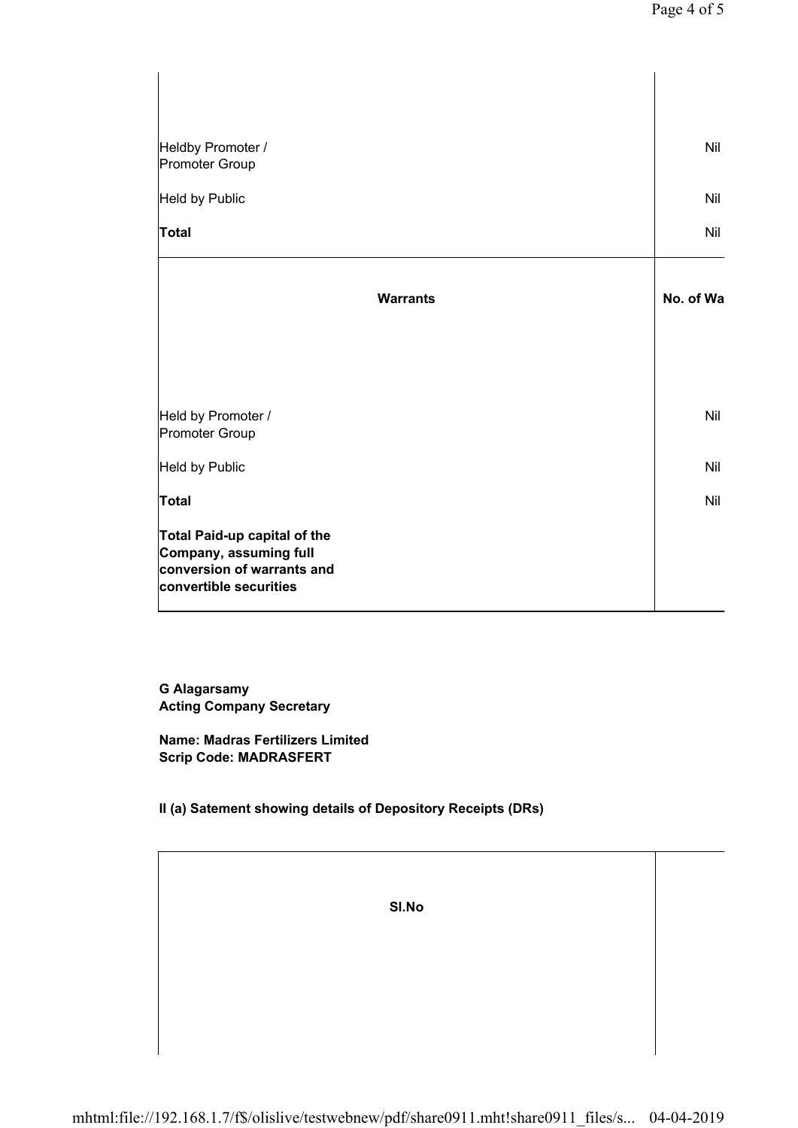| Heldby Promoter /<br>Promoter Group                                                                                   | Nil       |
|-----------------------------------------------------------------------------------------------------------------------|-----------|
| Held by Public                                                                                                        | Nil       |
| <b>Total</b>                                                                                                          | Nil       |
| <b>Warrants</b>                                                                                                       | No. of Wa |
|                                                                                                                       |           |
| Held by Promoter /<br>Promoter Group                                                                                  | Nil       |
| Held by Public                                                                                                        | Nil       |
| <b>Total</b>                                                                                                          | Nil       |
| <b>Total Paid-up capital of the</b><br>Company, assuming full<br>conversion of warrants and<br>convertible securities |           |

**G Alagarsamy Acting Company Secretary**

**Name: Madras Fertilizers Limited Scrip Code: MADRASFERT**

**II (a) Satement showing details of Depository Receipts (DRs)**

**Sl.No**